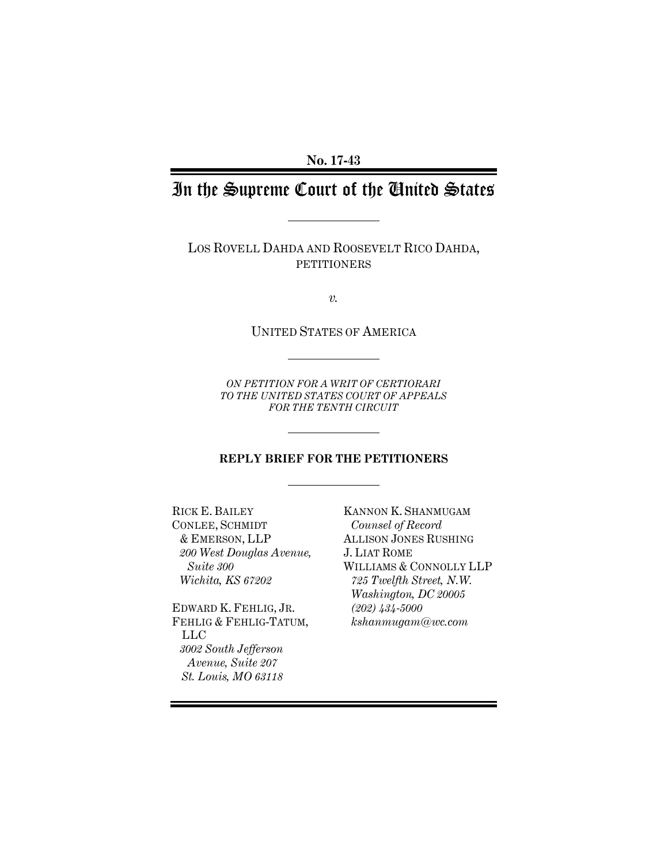**No. 17-43** 

# In the Supreme Court of the United States

LOS ROVELL DAHDA AND ROOSEVELT RICO DAHDA, PETITIONERS

*v.* 

UNITED STATES OF AMERICA

*ON PETITION FOR A WRIT OF CERTIORARI TO THE UNITED STATES COURT OF APPEALS FOR THE TENTH CIRCUIT* 

#### **REPLY BRIEF FOR THE PETITIONERS**

RICK E. BAILEY CONLEE, SCHMIDT & EMERSON, LLP *200 West Douglas Avenue, Suite 300 Wichita, KS 67202* 

EDWARD K. FEHLIG, JR. FEHLIG & FEHLIG-TATUM, LLC *3002 South Jefferson Avenue, Suite 207 St. Louis, MO 63118* 

KANNON K. SHANMUGAM *Counsel of Record*  ALLISON JONES RUSHING J. LIAT ROME WILLIAMS & CONNOLLY LLP *725 Twelfth Street, N.W. Washington, DC 20005 (202) 434-5000 kshanmugam@wc.com*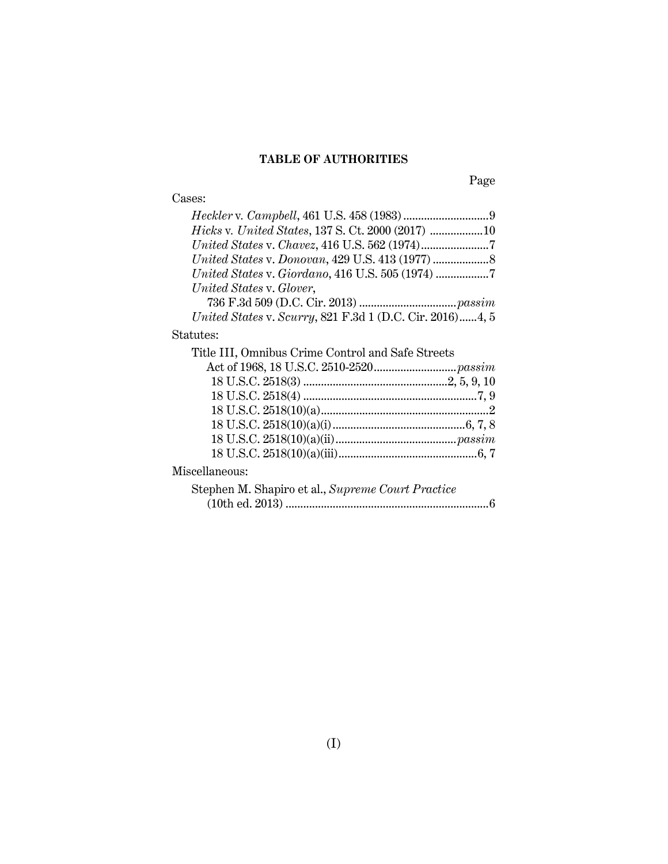### **TABLE OF AUTHORITIES**

## Cases:

Page

| <i>Hicks v. United States, 137 S. Ct. 2000 (2017) 10</i>  |
|-----------------------------------------------------------|
|                                                           |
|                                                           |
|                                                           |
| United States v. Glover,                                  |
|                                                           |
| United States v. Scurry, 821 F.3d 1 (D.C. Cir. 2016) 4, 5 |
| Statutes:                                                 |
| Title III, Omnibus Crime Control and Safe Streets         |
|                                                           |
|                                                           |
|                                                           |
|                                                           |
|                                                           |
|                                                           |
|                                                           |
| Miscellaneous:                                            |
| Stephen M. Shapiro et al., Supreme Court Practice         |
| 6                                                         |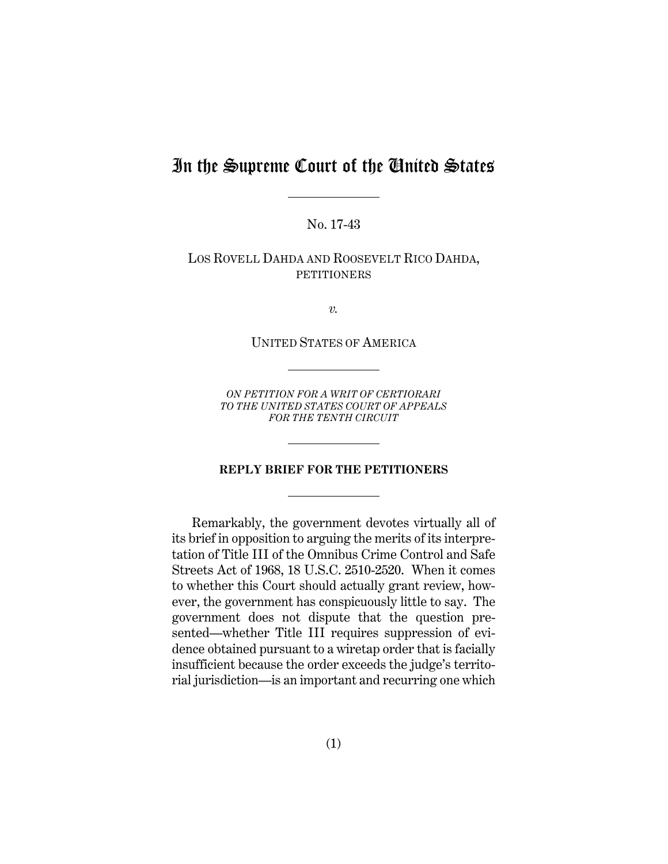## In the Supreme Court of the United States

No. 17-43

LOS ROVELL DAHDA AND ROOSEVELT RICO DAHDA, PETITIONERS

*v.* 

UNITED STATES OF AMERICA

*ON PETITION FOR A WRIT OF CERTIORARI TO THE UNITED STATES COURT OF APPEALS FOR THE TENTH CIRCUIT* 

#### **REPLY BRIEF FOR THE PETITIONERS**

Remarkably, the government devotes virtually all of its brief in opposition to arguing the merits of its interpretation of Title III of the Omnibus Crime Control and Safe Streets Act of 1968, 18 U.S.C. 2510-2520. When it comes to whether this Court should actually grant review, however, the government has conspicuously little to say. The government does not dispute that the question presented—whether Title III requires suppression of evidence obtained pursuant to a wiretap order that is facially insufficient because the order exceeds the judge's territorial jurisdiction—is an important and recurring one which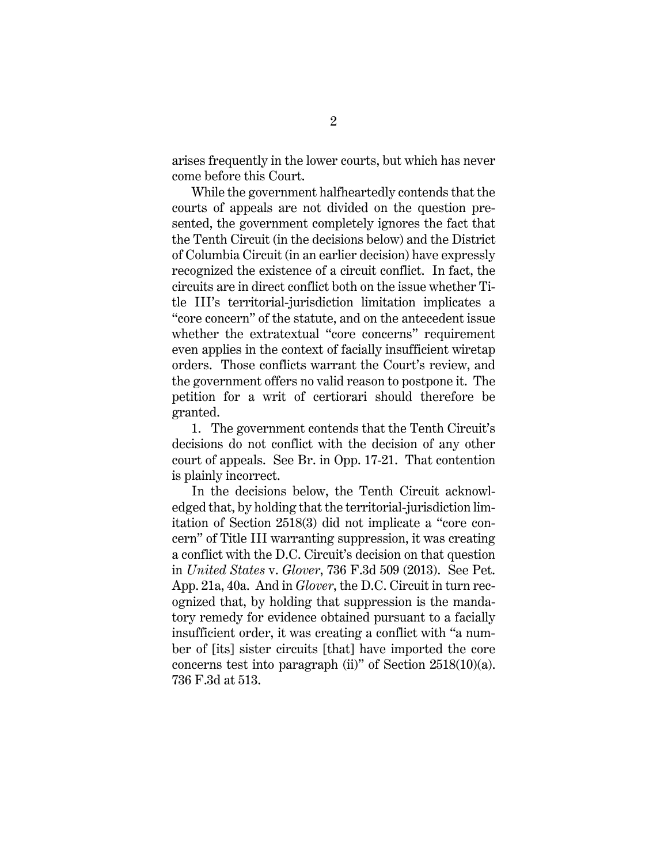arises frequently in the lower courts, but which has never come before this Court.

While the government halfheartedly contends that the courts of appeals are not divided on the question presented, the government completely ignores the fact that the Tenth Circuit (in the decisions below) and the District of Columbia Circuit (in an earlier decision) have expressly recognized the existence of a circuit conflict. In fact, the circuits are in direct conflict both on the issue whether Title III's territorial-jurisdiction limitation implicates a "core concern" of the statute, and on the antecedent issue whether the extratextual "core concerns" requirement even applies in the context of facially insufficient wiretap orders. Those conflicts warrant the Court's review, and the government offers no valid reason to postpone it. The petition for a writ of certiorari should therefore be granted.

1. The government contends that the Tenth Circuit's decisions do not conflict with the decision of any other court of appeals. See Br. in Opp. 17-21. That contention is plainly incorrect.

In the decisions below, the Tenth Circuit acknowledged that, by holding that the territorial-jurisdiction limitation of Section 2518(3) did not implicate a "core concern" of Title III warranting suppression, it was creating a conflict with the D.C. Circuit's decision on that question in *United States* v. *Glover*, 736 F.3d 509 (2013). See Pet. App. 21a, 40a. And in *Glover*, the D.C. Circuit in turn recognized that, by holding that suppression is the mandatory remedy for evidence obtained pursuant to a facially insufficient order, it was creating a conflict with "a number of [its] sister circuits [that] have imported the core concerns test into paragraph (ii)" of Section 2518(10)(a). 736 F.3d at 513.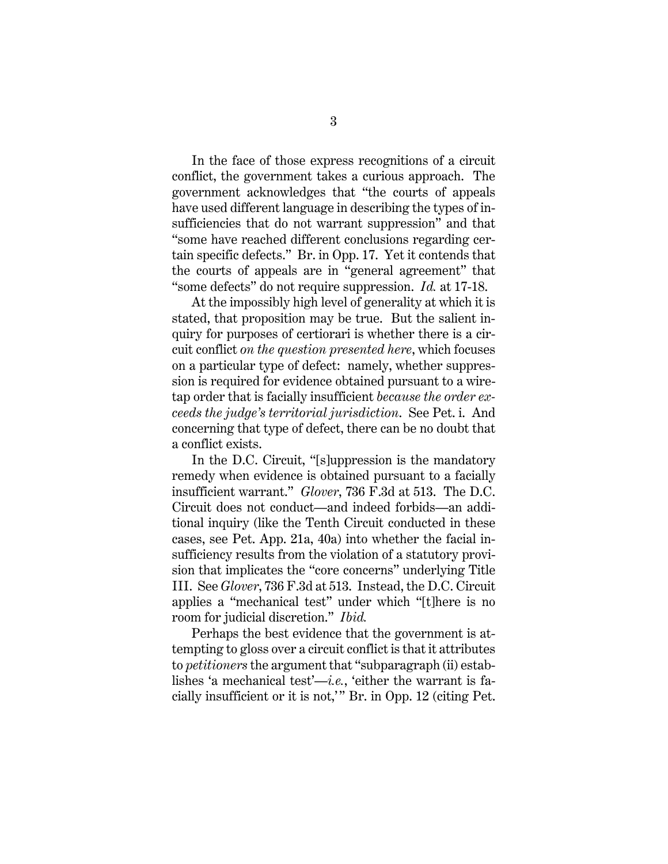In the face of those express recognitions of a circuit conflict, the government takes a curious approach. The government acknowledges that "the courts of appeals have used different language in describing the types of insufficiencies that do not warrant suppression" and that "some have reached different conclusions regarding certain specific defects." Br. in Opp. 17. Yet it contends that the courts of appeals are in "general agreement" that "some defects" do not require suppression. *Id.* at 17-18.

At the impossibly high level of generality at which it is stated, that proposition may be true. But the salient inquiry for purposes of certiorari is whether there is a circuit conflict *on the question presented here*, which focuses on a particular type of defect: namely, whether suppression is required for evidence obtained pursuant to a wiretap order that is facially insufficient *because the order exceeds the judge's territorial jurisdiction*. See Pet. i. And concerning that type of defect, there can be no doubt that a conflict exists.

In the D.C. Circuit, "[s]uppression is the mandatory remedy when evidence is obtained pursuant to a facially insufficient warrant." *Glover*, 736 F.3d at 513. The D.C. Circuit does not conduct—and indeed forbids—an additional inquiry (like the Tenth Circuit conducted in these cases, see Pet. App. 21a, 40a) into whether the facial insufficiency results from the violation of a statutory provision that implicates the "core concerns" underlying Title III. See *Glover*, 736 F.3d at 513. Instead, the D.C. Circuit applies a "mechanical test" under which "[t]here is no room for judicial discretion." *Ibid.*

Perhaps the best evidence that the government is attempting to gloss over a circuit conflict is that it attributes to *petitioners* the argument that "subparagraph (ii) establishes 'a mechanical test'—*i.e.*, 'either the warrant is facially insufficient or it is not,' " Br. in Opp. 12 (citing Pet.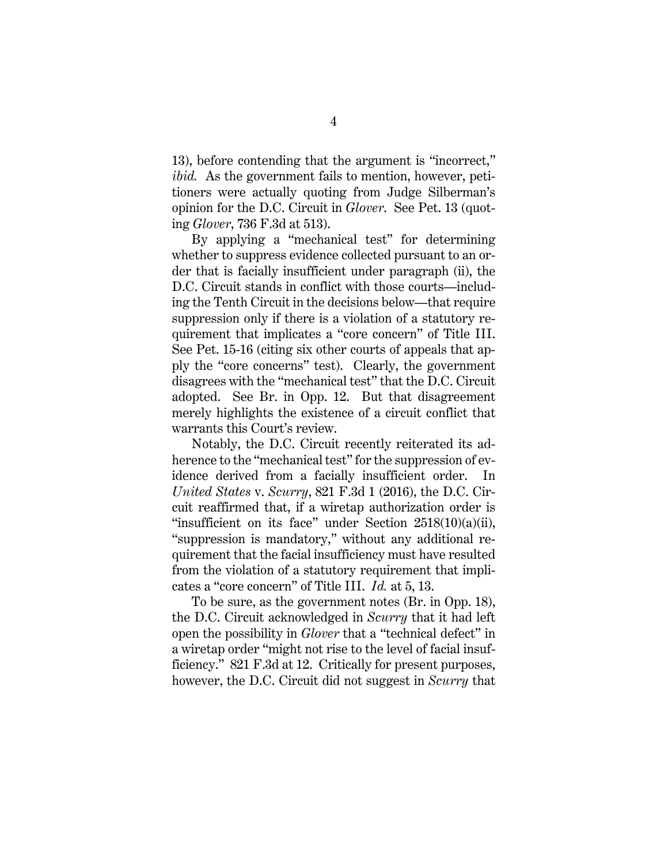13), before contending that the argument is "incorrect," *ibid.* As the government fails to mention, however, petitioners were actually quoting from Judge Silberman's opinion for the D.C. Circuit in *Glover*. See Pet. 13 (quoting *Glover*, 736 F.3d at 513).

By applying a "mechanical test" for determining whether to suppress evidence collected pursuant to an order that is facially insufficient under paragraph (ii), the D.C. Circuit stands in conflict with those courts—including the Tenth Circuit in the decisions below—that require suppression only if there is a violation of a statutory requirement that implicates a "core concern" of Title III. See Pet. 15-16 (citing six other courts of appeals that apply the "core concerns" test). Clearly, the government disagrees with the "mechanical test" that the D.C. Circuit adopted. See Br. in Opp. 12. But that disagreement merely highlights the existence of a circuit conflict that warrants this Court's review.

Notably, the D.C. Circuit recently reiterated its adherence to the "mechanical test" for the suppression of evidence derived from a facially insufficient order. In *United States* v. *Scurry*, 821 F.3d 1 (2016), the D.C. Circuit reaffirmed that, if a wiretap authorization order is "insufficient on its face" under Section 2518(10)(a)(ii), "suppression is mandatory," without any additional requirement that the facial insufficiency must have resulted from the violation of a statutory requirement that implicates a "core concern" of Title III. *Id.* at 5, 13.

To be sure, as the government notes (Br. in Opp. 18), the D.C. Circuit acknowledged in *Scurry* that it had left open the possibility in *Glover* that a "technical defect" in a wiretap order "might not rise to the level of facial insufficiency." 821 F.3d at 12. Critically for present purposes, however, the D.C. Circuit did not suggest in *Scurry* that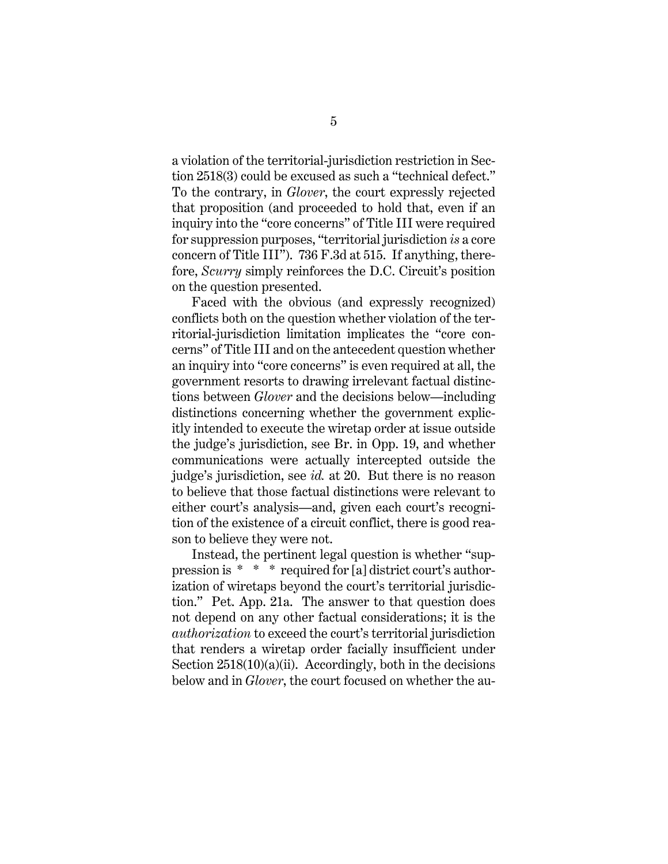a violation of the territorial-jurisdiction restriction in Section 2518(3) could be excused as such a "technical defect." To the contrary, in *Glover*, the court expressly rejected that proposition (and proceeded to hold that, even if an inquiry into the "core concerns" of Title III were required for suppression purposes, "territorial jurisdiction *is* a core concern of Title III"). 736 F.3d at 515. If anything, therefore, *Scurry* simply reinforces the D.C. Circuit's position on the question presented.

Faced with the obvious (and expressly recognized) conflicts both on the question whether violation of the territorial-jurisdiction limitation implicates the "core concerns" of Title III and on the antecedent question whether an inquiry into "core concerns" is even required at all, the government resorts to drawing irrelevant factual distinctions between *Glover* and the decisions below—including distinctions concerning whether the government explicitly intended to execute the wiretap order at issue outside the judge's jurisdiction, see Br. in Opp. 19, and whether communications were actually intercepted outside the judge's jurisdiction, see *id.* at 20. But there is no reason to believe that those factual distinctions were relevant to either court's analysis—and, given each court's recognition of the existence of a circuit conflict, there is good reason to believe they were not.

Instead, the pertinent legal question is whether "suppression is \* \* \* required for [a] district court's authorization of wiretaps beyond the court's territorial jurisdiction." Pet. App. 21a. The answer to that question does not depend on any other factual considerations; it is the *authorization* to exceed the court's territorial jurisdiction that renders a wiretap order facially insufficient under Section  $2518(10)(a)(ii)$ . Accordingly, both in the decisions below and in *Glover*, the court focused on whether the au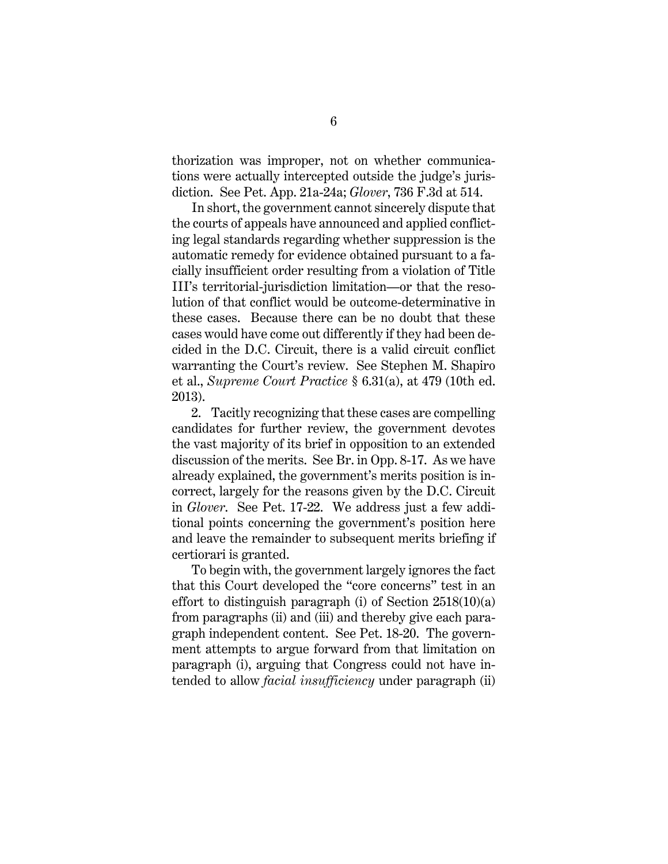thorization was improper, not on whether communications were actually intercepted outside the judge's jurisdiction. See Pet. App. 21a-24a; *Glover*, 736 F.3d at 514.

In short, the government cannot sincerely dispute that the courts of appeals have announced and applied conflicting legal standards regarding whether suppression is the automatic remedy for evidence obtained pursuant to a facially insufficient order resulting from a violation of Title III's territorial-jurisdiction limitation—or that the resolution of that conflict would be outcome-determinative in these cases. Because there can be no doubt that these cases would have come out differently if they had been decided in the D.C. Circuit, there is a valid circuit conflict warranting the Court's review. See Stephen M. Shapiro et al., *Supreme Court Practice* § 6.31(a), at 479 (10th ed. 2013).

2. Tacitly recognizing that these cases are compelling candidates for further review, the government devotes the vast majority of its brief in opposition to an extended discussion of the merits. See Br. in Opp. 8-17. As we have already explained, the government's merits position is incorrect, largely for the reasons given by the D.C. Circuit in *Glover*. See Pet. 17-22. We address just a few additional points concerning the government's position here and leave the remainder to subsequent merits briefing if certiorari is granted.

To begin with, the government largely ignores the fact that this Court developed the "core concerns" test in an effort to distinguish paragraph (i) of Section  $2518(10)(a)$ from paragraphs (ii) and (iii) and thereby give each paragraph independent content. See Pet. 18-20. The government attempts to argue forward from that limitation on paragraph (i), arguing that Congress could not have intended to allow *facial insufficiency* under paragraph (ii)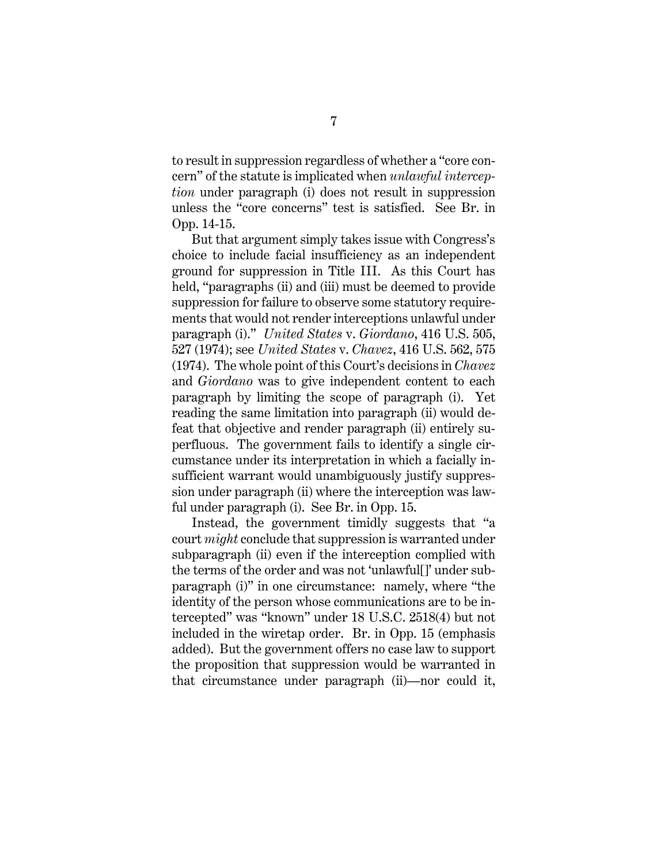to result in suppression regardless of whether a "core concern" of the statute is implicated when *unlawful interception* under paragraph (i) does not result in suppression unless the "core concerns" test is satisfied. See Br. in Opp. 14-15.

But that argument simply takes issue with Congress's choice to include facial insufficiency as an independent ground for suppression in Title III. As this Court has held, "paragraphs (ii) and (iii) must be deemed to provide suppression for failure to observe some statutory requirements that would not render interceptions unlawful under paragraph (i)." *United States* v. *Giordano*, 416 U.S. 505, 527 (1974); see *United States* v. *Chavez*, 416 U.S. 562, 575 (1974). The whole point of this Court's decisions in *Chavez* and *Giordano* was to give independent content to each paragraph by limiting the scope of paragraph (i). Yet reading the same limitation into paragraph (ii) would defeat that objective and render paragraph (ii) entirely superfluous. The government fails to identify a single circumstance under its interpretation in which a facially insufficient warrant would unambiguously justify suppression under paragraph (ii) where the interception was lawful under paragraph (i). See Br. in Opp. 15.

Instead, the government timidly suggests that "a court *might* conclude that suppression is warranted under subparagraph (ii) even if the interception complied with the terms of the order and was not 'unlawful[]' under subparagraph (i)" in one circumstance: namely, where "the identity of the person whose communications are to be intercepted" was "known" under 18 U.S.C. 2518(4) but not included in the wiretap order. Br. in Opp. 15 (emphasis added). But the government offers no case law to support the proposition that suppression would be warranted in that circumstance under paragraph (ii)—nor could it,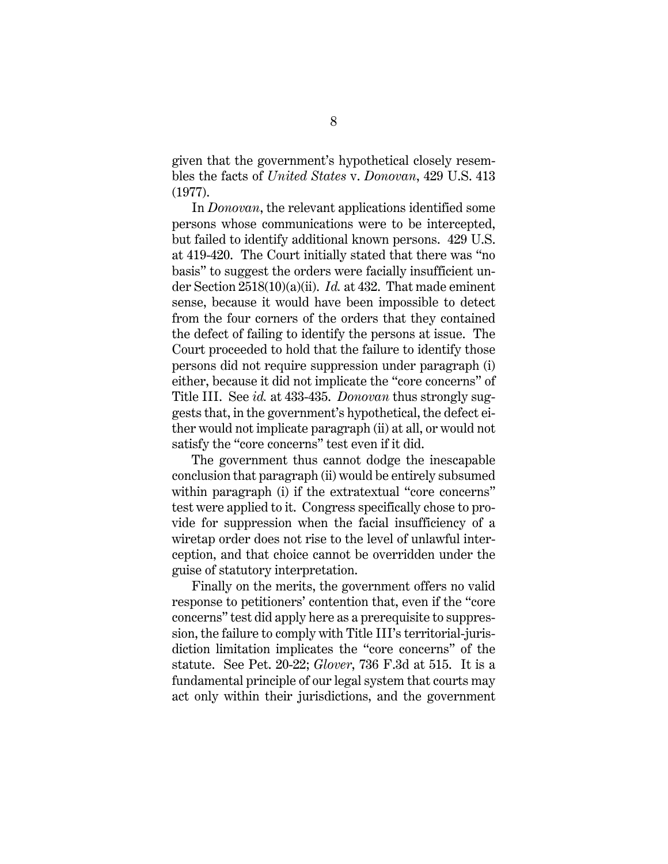given that the government's hypothetical closely resembles the facts of *United States* v. *Donovan*, 429 U.S. 413 (1977).

In *Donovan*, the relevant applications identified some persons whose communications were to be intercepted, but failed to identify additional known persons. 429 U.S. at 419-420. The Court initially stated that there was "no basis" to suggest the orders were facially insufficient under Section 2518(10)(a)(ii). *Id.* at 432. That made eminent sense, because it would have been impossible to detect from the four corners of the orders that they contained the defect of failing to identify the persons at issue. The Court proceeded to hold that the failure to identify those persons did not require suppression under paragraph (i) either, because it did not implicate the "core concerns" of Title III. See *id.* at 433-435. *Donovan* thus strongly suggests that, in the government's hypothetical, the defect either would not implicate paragraph (ii) at all, or would not satisfy the "core concerns" test even if it did.

The government thus cannot dodge the inescapable conclusion that paragraph (ii) would be entirely subsumed within paragraph (i) if the extratextual "core concerns" test were applied to it. Congress specifically chose to provide for suppression when the facial insufficiency of a wiretap order does not rise to the level of unlawful interception, and that choice cannot be overridden under the guise of statutory interpretation.

Finally on the merits, the government offers no valid response to petitioners' contention that, even if the "core concerns" test did apply here as a prerequisite to suppression, the failure to comply with Title III's territorial-jurisdiction limitation implicates the "core concerns" of the statute. See Pet. 20-22; *Glover*, 736 F.3d at 515. It is a fundamental principle of our legal system that courts may act only within their jurisdictions, and the government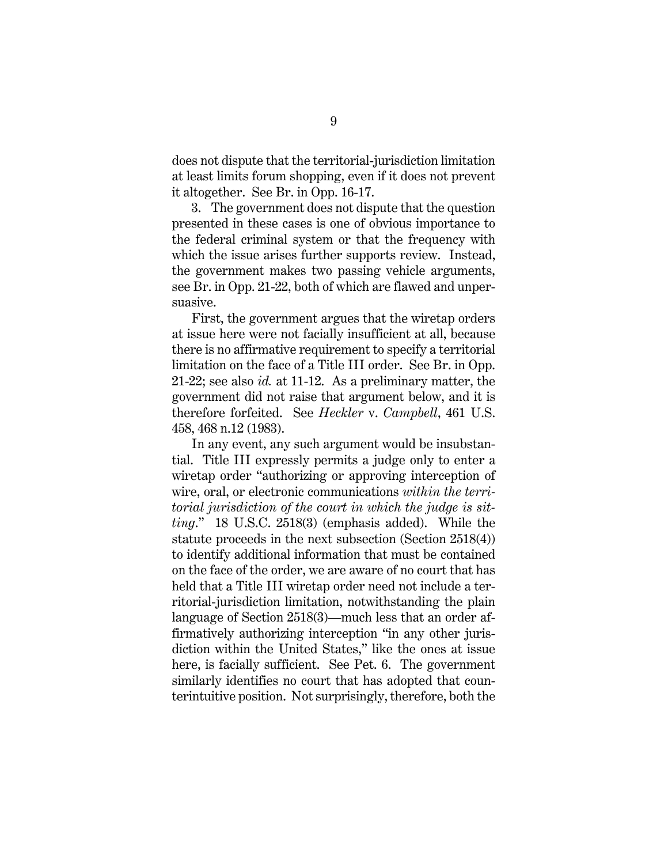does not dispute that the territorial-jurisdiction limitation at least limits forum shopping, even if it does not prevent it altogether. See Br. in Opp. 16-17.

3. The government does not dispute that the question presented in these cases is one of obvious importance to the federal criminal system or that the frequency with which the issue arises further supports review. Instead, the government makes two passing vehicle arguments, see Br. in Opp. 21-22, both of which are flawed and unpersuasive.

First, the government argues that the wiretap orders at issue here were not facially insufficient at all, because there is no affirmative requirement to specify a territorial limitation on the face of a Title III order. See Br. in Opp. 21-22; see also *id.* at 11-12. As a preliminary matter, the government did not raise that argument below, and it is therefore forfeited. See *Heckler* v. *Campbell*, 461 U.S. 458, 468 n.12 (1983).

In any event, any such argument would be insubstantial. Title III expressly permits a judge only to enter a wiretap order "authorizing or approving interception of wire, oral, or electronic communications *within the territorial jurisdiction of the court in which the judge is sitting*." 18 U.S.C. 2518(3) (emphasis added). While the statute proceeds in the next subsection (Section 2518(4)) to identify additional information that must be contained on the face of the order, we are aware of no court that has held that a Title III wiretap order need not include a territorial-jurisdiction limitation, notwithstanding the plain language of Section 2518(3)—much less that an order affirmatively authorizing interception "in any other jurisdiction within the United States," like the ones at issue here, is facially sufficient. See Pet. 6. The government similarly identifies no court that has adopted that counterintuitive position. Not surprisingly, therefore, both the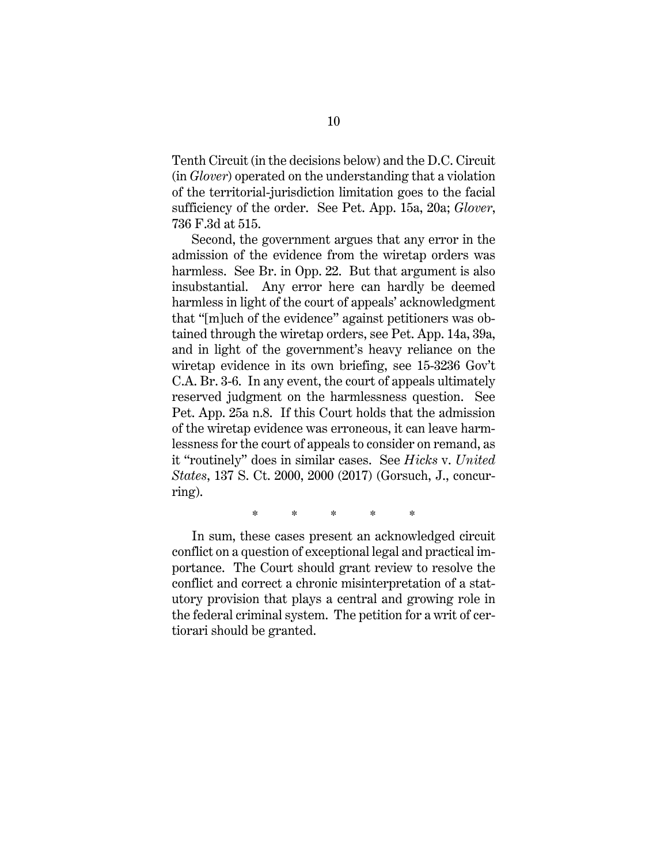Tenth Circuit (in the decisions below) and the D.C. Circuit (in *Glover*) operated on the understanding that a violation of the territorial-jurisdiction limitation goes to the facial sufficiency of the order. See Pet. App. 15a, 20a; *Glover*, 736 F.3d at 515.

Second, the government argues that any error in the admission of the evidence from the wiretap orders was harmless. See Br. in Opp. 22. But that argument is also insubstantial. Any error here can hardly be deemed harmless in light of the court of appeals' acknowledgment that "[m]uch of the evidence" against petitioners was obtained through the wiretap orders, see Pet. App. 14a, 39a, and in light of the government's heavy reliance on the wiretap evidence in its own briefing, see 15-3236 Gov't C.A. Br. 3-6. In any event, the court of appeals ultimately reserved judgment on the harmlessness question. See Pet. App. 25a n.8. If this Court holds that the admission of the wiretap evidence was erroneous, it can leave harmlessness for the court of appeals to consider on remand, as it "routinely" does in similar cases. See *Hicks* v. *United States*, 137 S. Ct. 2000, 2000 (2017) (Gorsuch, J., concurring).

\* \* \* \* \*

In sum, these cases present an acknowledged circuit conflict on a question of exceptional legal and practical importance. The Court should grant review to resolve the conflict and correct a chronic misinterpretation of a statutory provision that plays a central and growing role in the federal criminal system. The petition for a writ of certiorari should be granted.